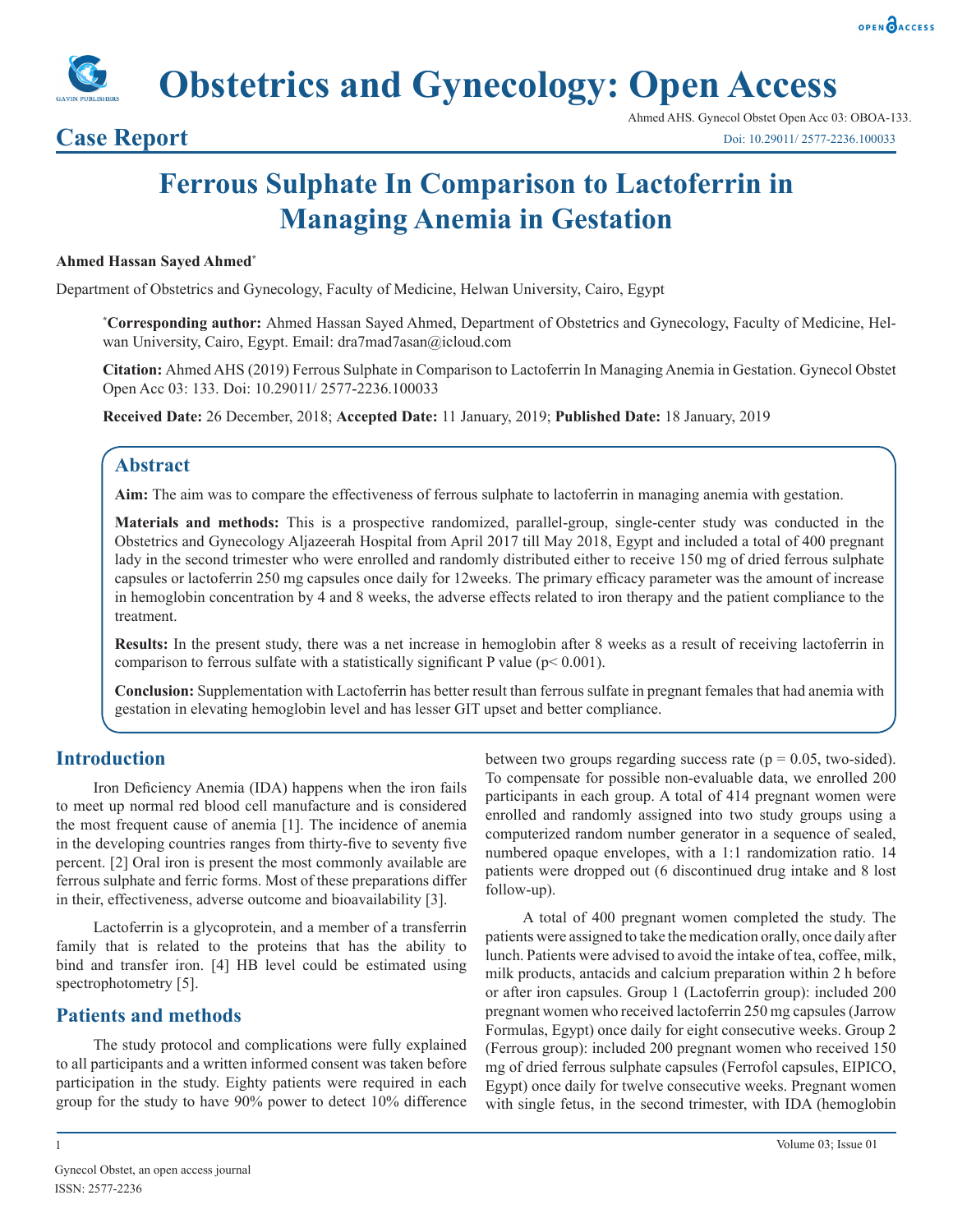



**Obstetrics and Gynecology: Open Access**

# **Ferrous Sulphate In Comparison to Lactoferrin in Managing Anemia in Gestation**

#### **Ahmed Hassan Sayed Ahmed\***

Department of Obstetrics and Gynecology, Faculty of Medicine, Helwan University, Cairo, Egypt

**\* Corresponding author:** Ahmed Hassan Sayed Ahmed, Department of Obstetrics and Gynecology, Faculty of Medicine, Helwan University, Cairo, Egypt. Email: dra7mad7asan@icloud.com

**Citation:** Ahmed AHS (2019) Ferrous Sulphate in Comparison to Lactoferrin In Managing Anemia in Gestation. Gynecol Obstet Open Acc 03: 133. Doi: 10.29011/ 2577-2236.100033

**Received Date:** 26 December, 2018; **Accepted Date:** 11 January, 2019; **Published Date:** 18 January, 2019

### **Abstract**

**Aim:** The aim was to compare the effectiveness of ferrous sulphate to lactoferrin in managing anemia with gestation.

**Materials and methods:** This is a prospective randomized, parallel-group, single-center study was conducted in the Obstetrics and Gynecology Aljazeerah Hospital from April 2017 till May 2018, Egypt and included a total of 400 pregnant lady in the second trimester who were enrolled and randomly distributed either to receive 150 mg of dried ferrous sulphate capsules or lactoferrin 250 mg capsules once daily for 12weeks. The primary efficacy parameter was the amount of increase in hemoglobin concentration by 4 and 8 weeks, the adverse effects related to iron therapy and the patient compliance to the treatment.

**Results:** In the present study, there was a net increase in hemoglobin after 8 weeks as a result of receiving lactoferrin in comparison to ferrous sulfate with a statistically significant P value ( $p < 0.001$ ).

**Conclusion:** Supplementation with Lactoferrin has better result than ferrous sulfate in pregnant females that had anemia with gestation in elevating hemoglobin level and has lesser GIT upset and better compliance.

#### **Introduction**

Iron Deficiency Anemia (IDA) happens when the iron fails to meet up normal red blood cell manufacture and is considered the most frequent cause of anemia [1]. The incidence of anemia in the developing countries ranges from thirty-five to seventy five percent. [2] Oral iron is present the most commonly available are ferrous sulphate and ferric forms. Most of these preparations differ in their, effectiveness, adverse outcome and bioavailability [3].

Lactoferrin is a glycoprotein, and a member of a transferrin family that is related to the proteins that has the ability to bind and transfer iron. [4] HB level could be estimated using spectrophotometry [5].

#### **Patients and methods**

The study protocol and complications were fully explained to all participants and a written informed consent was taken before participation in the study. Eighty patients were required in each group for the study to have 90% power to detect 10% difference between two groups regarding success rate ( $p = 0.05$ , two-sided). To compensate for possible non-evaluable data, we enrolled 200 participants in each group. A total of 414 pregnant women were enrolled and randomly assigned into two study groups using a computerized random number generator in a sequence of sealed, numbered opaque envelopes, with a 1:1 randomization ratio. 14 patients were dropped out (6 discontinued drug intake and 8 lost follow-up).

A total of 400 pregnant women completed the study. The patients were assigned to take the medication orally, once daily after lunch. Patients were advised to avoid the intake of tea, coffee, milk, milk products, antacids and calcium preparation within 2 h before or after iron capsules. Group 1 (Lactoferrin group): included 200 pregnant women who received lactoferrin 250 mg capsules (Jarrow Formulas, Egypt) once daily for eight consecutive weeks. Group 2 (Ferrous group): included 200 pregnant women who received 150 mg of dried ferrous sulphate capsules (Ferrofol capsules, EIPICO, Egypt) once daily for twelve consecutive weeks. Pregnant women with single fetus, in the second trimester, with IDA (hemoglobin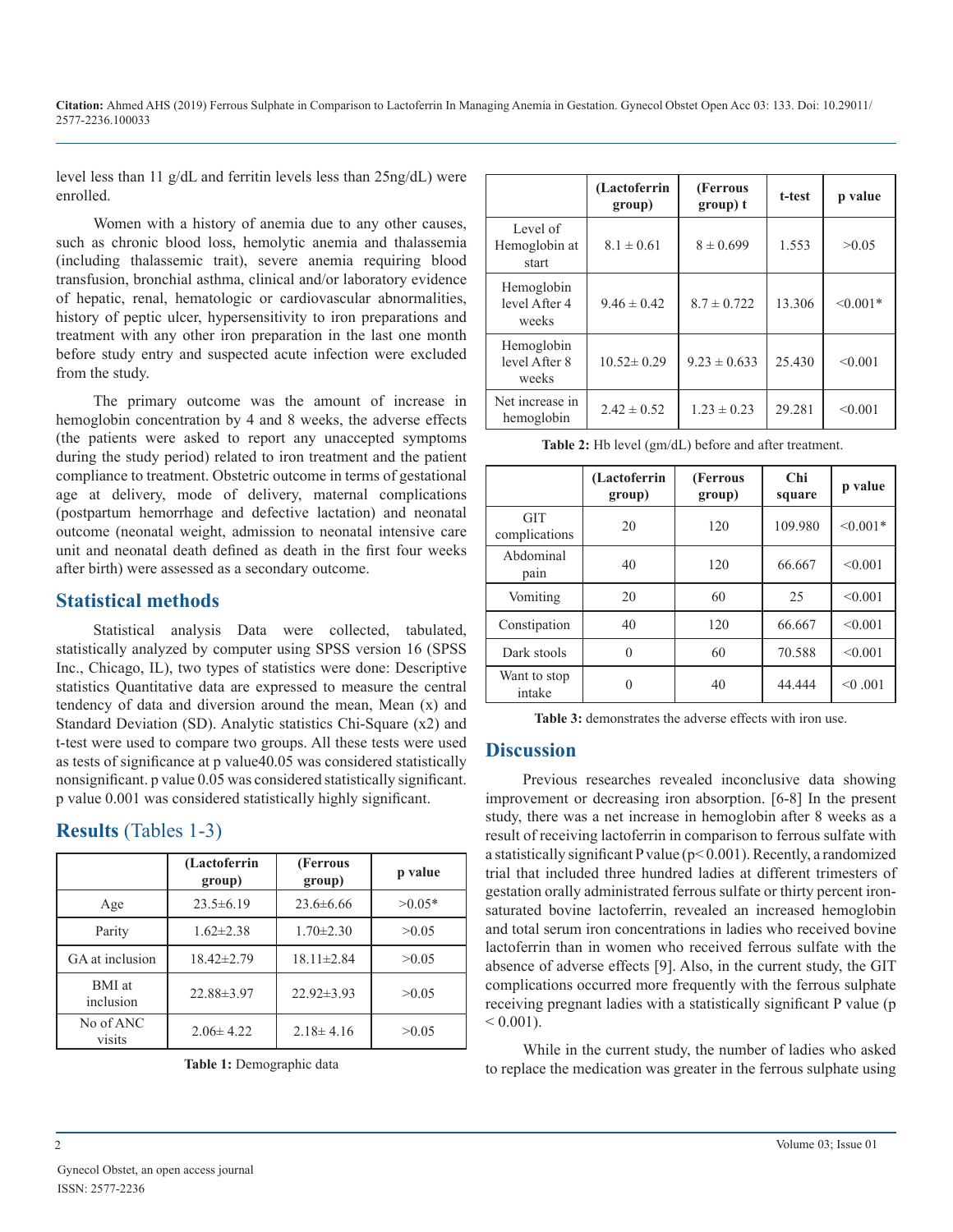**Citation:** Ahmed AHS (2019) Ferrous Sulphate in Comparison to Lactoferrin In Managing Anemia in Gestation. Gynecol Obstet Open Acc 03: 133. Doi: 10.29011/ 2577-2236.100033

level less than 11 g/dL and ferritin levels less than 25ng/dL) were enrolled.

Women with a history of anemia due to any other causes, such as chronic blood loss, hemolytic anemia and thalassemia (including thalassemic trait), severe anemia requiring blood transfusion, bronchial asthma, clinical and/or laboratory evidence of hepatic, renal, hematologic or cardiovascular abnormalities, history of peptic ulcer, hypersensitivity to iron preparations and treatment with any other iron preparation in the last one month before study entry and suspected acute infection were excluded from the study.

The primary outcome was the amount of increase in hemoglobin concentration by 4 and 8 weeks, the adverse effects (the patients were asked to report any unaccepted symptoms during the study period) related to iron treatment and the patient compliance to treatment. Obstetric outcome in terms of gestational age at delivery, mode of delivery, maternal complications (postpartum hemorrhage and defective lactation) and neonatal outcome (neonatal weight, admission to neonatal intensive care unit and neonatal death defined as death in the first four weeks after birth) were assessed as a secondary outcome.

### **Statistical methods**

Statistical analysis Data were collected, tabulated, statistically analyzed by computer using SPSS version 16 (SPSS Inc., Chicago, IL), two types of statistics were done: Descriptive statistics Quantitative data are expressed to measure the central tendency of data and diversion around the mean, Mean (x) and Standard Deviation (SD). Analytic statistics Chi-Square (x2) and t-test were used to compare two groups. All these tests were used as tests of significance at p value40.05 was considered statistically nonsignificant. p value 0.05 was considered statistically significant. p value 0.001 was considered statistically highly significant.

## **Results** (Tables 1-3)

|                            | (Lactoferrin<br>(Ferrous<br>group)<br>group) |                  | p value  |
|----------------------------|----------------------------------------------|------------------|----------|
| Age                        | $23.5\pm 6.19$<br>$23.6 \pm 6.66$            |                  | $>0.05*$ |
| Parity                     | $1.62 \pm 2.38$                              | $1.70 \pm 2.30$  | >0.05    |
| GA at inclusion            | $18.42 \pm 2.79$                             | $18.11 \pm 2.84$ | >0.05    |
| <b>BMI</b> at<br>inclusion | 22.88±3.97                                   |                  | >0.05    |
| No of ANC<br>visits        | $2.06 \pm 4.22$                              | $2.18 \pm 4.16$  | >0.05    |

|  |  | Table 1: Demographic data |  |
|--|--|---------------------------|--|
|--|--|---------------------------|--|

|                                      | (Lactoferrin<br>group) | (Ferrous<br>group) t | t-test | p value    |
|--------------------------------------|------------------------|----------------------|--------|------------|
| Level of<br>Hemoglobin at<br>start   | $8.1 \pm 0.61$         | $8 \pm 0.699$        | 1.553  | >0.05      |
| Hemoglobin<br>level After 4<br>weeks | $9.46 \pm 0.42$        | $8.7 \pm 0.722$      | 13.306 | $< 0.001*$ |
| Hemoglobin<br>level After 8<br>weeks | $10.52 \pm 0.29$       | $9.23 \pm 0.633$     | 25.430 | < 0.001    |
| Net increase in<br>hemoglobin        | $2.42 \pm 0.52$        | $1.23 \pm 0.23$      | 29.281 | < 0.001    |

**Table 2:** Hb level (gm/dL) before and after treatment.

|                             | (Lactoferrin<br>group) | (Ferrous<br>group) | Chi<br>square | p value    |
|-----------------------------|------------------------|--------------------|---------------|------------|
| <b>GIT</b><br>complications | 20                     | 120                | 109.980       | $< 0.001*$ |
| Abdominal<br>pain           | 40                     | 120                | 66.667        | < 0.001    |
| Vomiting                    | 20                     | 60                 | 25            | < 0.001    |
| Constipation                | 40                     | 120                | 66.667        | < 0.001    |
| Dark stools                 | $\Omega$               | 60                 | 70.588        | < 0.001    |
| Want to stop<br>intake      | 0                      | 40                 | 44.444        | < 0.001    |

**Table 3:** demonstrates the adverse effects with iron use.

#### **Discussion**

Previous researches revealed inconclusive data showing improvement or decreasing iron absorption. [6-8] In the present study, there was a net increase in hemoglobin after 8 weeks as a result of receiving lactoferrin in comparison to ferrous sulfate with a statistically significant P value ( $p<0.001$ ). Recently, a randomized trial that included three hundred ladies at different trimesters of gestation orally administrated ferrous sulfate or thirty percent ironsaturated bovine lactoferrin, revealed an increased hemoglobin and total serum iron concentrations in ladies who received bovine lactoferrin than in women who received ferrous sulfate with the absence of adverse effects [9]. Also, in the current study, the GIT complications occurred more frequently with the ferrous sulphate receiving pregnant ladies with a statistically significant P value (p  $< 0.001$ ).

While in the current study, the number of ladies who asked to replace the medication was greater in the ferrous sulphate using